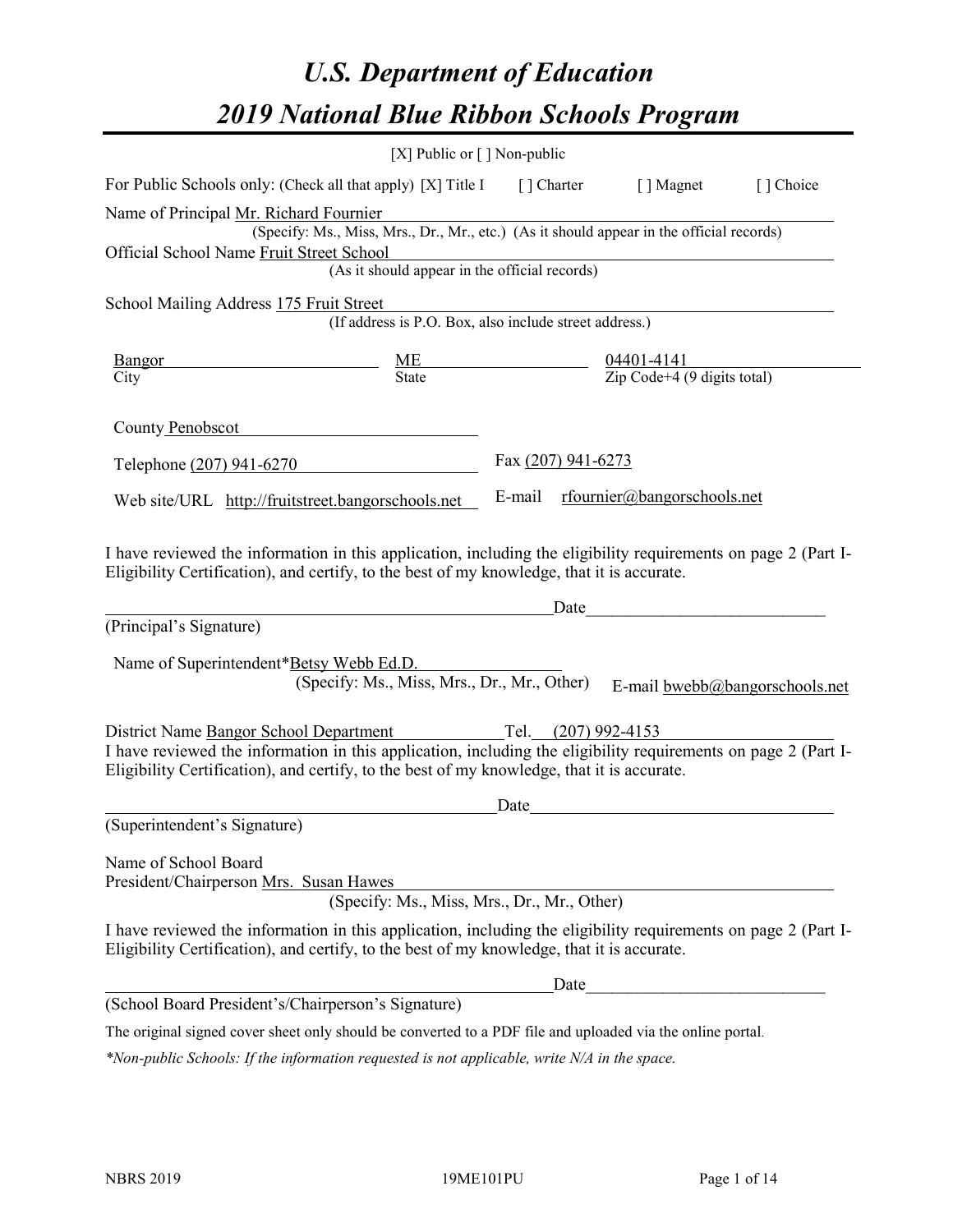# *U.S. Department of Education 2019 National Blue Ribbon Schools Program*

|                                                                                                                                                                                                                                                                            | [X] Public or $\lceil$ ] Non-public                                                                             |                                                                 |                                                |                                |
|----------------------------------------------------------------------------------------------------------------------------------------------------------------------------------------------------------------------------------------------------------------------------|-----------------------------------------------------------------------------------------------------------------|-----------------------------------------------------------------|------------------------------------------------|--------------------------------|
| For Public Schools only: (Check all that apply) [X] Title I [] Charter [] Magnet                                                                                                                                                                                           |                                                                                                                 |                                                                 |                                                | [ ] Choice                     |
| Name of Principal Mr. Richard Fournier<br>Official School Name Fruit Street School                                                                                                                                                                                         | r. Kichard Fournier<br>(Specify: Ms., Miss, Mrs., Dr., Mr., etc.) (As it should appear in the official records) |                                                                 |                                                |                                |
|                                                                                                                                                                                                                                                                            | et School<br>(As it should appear in the official records)                                                      |                                                                 |                                                |                                |
| School Mailing Address 175 Fruit Street                                                                                                                                                                                                                                    | III Street<br>(If address is P.O. Box, also include street address.)                                            |                                                                 |                                                |                                |
| Bangor<br><u> 1989 - Johann Barnett, fransk politiker (</u>                                                                                                                                                                                                                | $\frac{ME}{State}$                                                                                              | $\frac{04401-4141}{\text{Zip Code}+4 (9 \text{ digits total})}$ |                                                |                                |
| City                                                                                                                                                                                                                                                                       |                                                                                                                 |                                                                 |                                                |                                |
| County Penobscot                                                                                                                                                                                                                                                           |                                                                                                                 |                                                                 |                                                |                                |
| Telephone (207) 941-6270                                                                                                                                                                                                                                                   |                                                                                                                 | Fax (207) 941-6273                                              |                                                |                                |
| Web site/URL http://fruitstreet.bangorschools.net                                                                                                                                                                                                                          |                                                                                                                 |                                                                 | E-mail rfournier@bangorschools.net             |                                |
| I have reviewed the information in this application, including the eligibility requirements on page 2 (Part I-<br>Eligibility Certification), and certify, to the best of my knowledge, that it is accurate.<br>(Principal's Signature)                                    |                                                                                                                 | Date                                                            | <u> 1980 - John Stein, mars and de Branden</u> |                                |
| Name of Superintendent*Betsy Webb Ed.D.                                                                                                                                                                                                                                    | (Specify: Ms., Miss, Mrs., Dr., Mr., Other)                                                                     |                                                                 |                                                | E-mail bwebb@bangorschools.net |
| District Name Bangor School Department Tel. (207) 992-4153<br>I have reviewed the information in this application, including the eligibility requirements on page 2 (Part I-<br>Eligibility Certification), and certify, to the best of my knowledge, that it is accurate. |                                                                                                                 |                                                                 |                                                |                                |
| (Superintendent's Signature)                                                                                                                                                                                                                                               |                                                                                                                 | Date                                                            |                                                |                                |
| Name of School Board<br>President/Chairperson Mrs. Susan Hawes                                                                                                                                                                                                             | (Specify: Ms., Miss, Mrs., Dr., Mr., Other)                                                                     |                                                                 |                                                |                                |
| I have reviewed the information in this application, including the eligibility requirements on page 2 (Part I-<br>Eligibility Certification), and certify, to the best of my knowledge, that it is accurate.                                                               |                                                                                                                 |                                                                 |                                                |                                |
|                                                                                                                                                                                                                                                                            |                                                                                                                 | Date                                                            |                                                |                                |
| (School Board President's/Chairperson's Signature)                                                                                                                                                                                                                         |                                                                                                                 |                                                                 |                                                |                                |
| The original signed cover sheet only should be converted to a PDF file and uploaded via the online portal.                                                                                                                                                                 |                                                                                                                 |                                                                 |                                                |                                |

*\*Non-public Schools: If the information requested is not applicable, write N/A in the space.*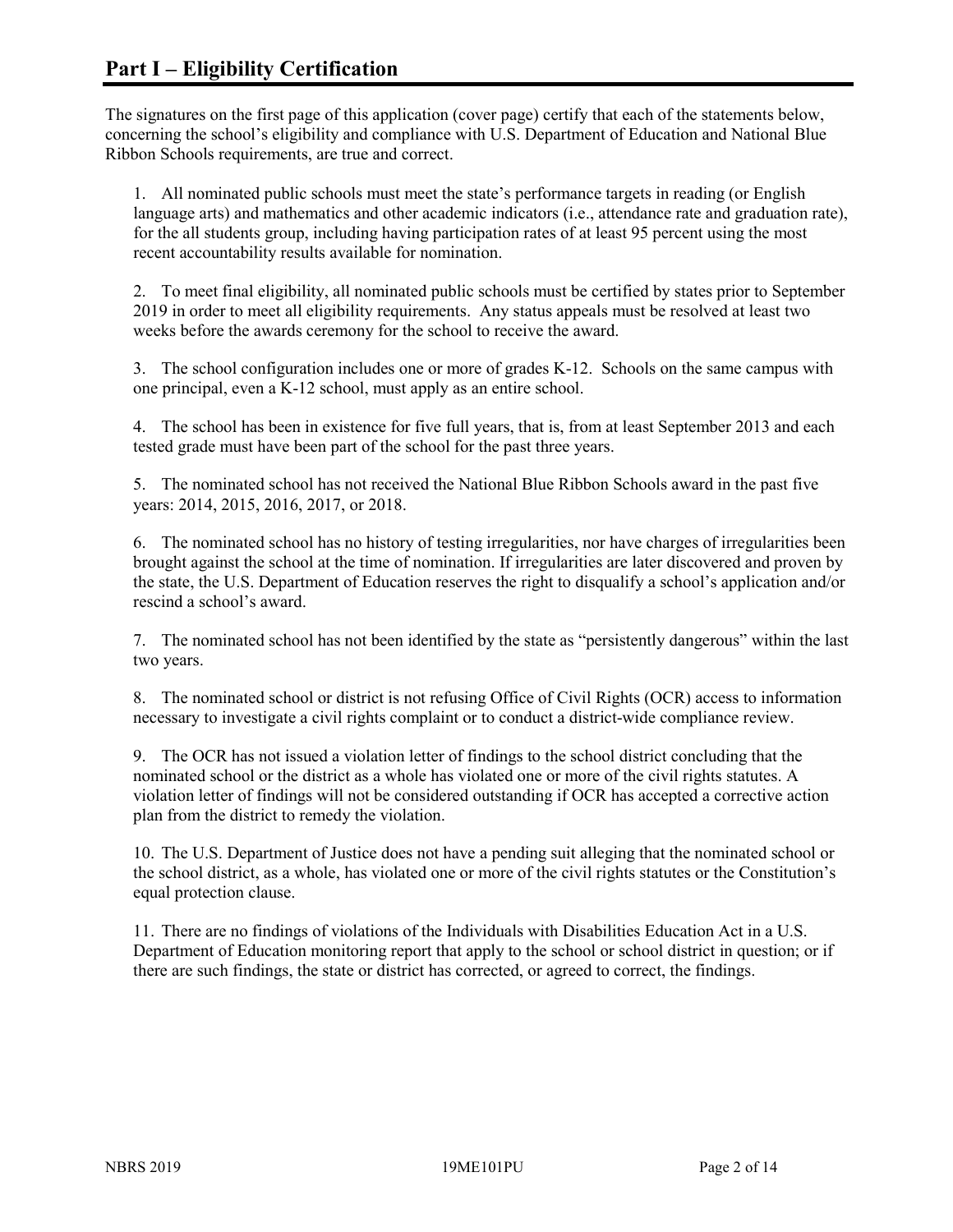The signatures on the first page of this application (cover page) certify that each of the statements below, concerning the school's eligibility and compliance with U.S. Department of Education and National Blue Ribbon Schools requirements, are true and correct.

1. All nominated public schools must meet the state's performance targets in reading (or English language arts) and mathematics and other academic indicators (i.e., attendance rate and graduation rate), for the all students group, including having participation rates of at least 95 percent using the most recent accountability results available for nomination.

2. To meet final eligibility, all nominated public schools must be certified by states prior to September 2019 in order to meet all eligibility requirements. Any status appeals must be resolved at least two weeks before the awards ceremony for the school to receive the award.

3. The school configuration includes one or more of grades K-12. Schools on the same campus with one principal, even a K-12 school, must apply as an entire school.

4. The school has been in existence for five full years, that is, from at least September 2013 and each tested grade must have been part of the school for the past three years.

5. The nominated school has not received the National Blue Ribbon Schools award in the past five years: 2014, 2015, 2016, 2017, or 2018.

6. The nominated school has no history of testing irregularities, nor have charges of irregularities been brought against the school at the time of nomination. If irregularities are later discovered and proven by the state, the U.S. Department of Education reserves the right to disqualify a school's application and/or rescind a school's award.

7. The nominated school has not been identified by the state as "persistently dangerous" within the last two years.

8. The nominated school or district is not refusing Office of Civil Rights (OCR) access to information necessary to investigate a civil rights complaint or to conduct a district-wide compliance review.

9. The OCR has not issued a violation letter of findings to the school district concluding that the nominated school or the district as a whole has violated one or more of the civil rights statutes. A violation letter of findings will not be considered outstanding if OCR has accepted a corrective action plan from the district to remedy the violation.

10. The U.S. Department of Justice does not have a pending suit alleging that the nominated school or the school district, as a whole, has violated one or more of the civil rights statutes or the Constitution's equal protection clause.

11. There are no findings of violations of the Individuals with Disabilities Education Act in a U.S. Department of Education monitoring report that apply to the school or school district in question; or if there are such findings, the state or district has corrected, or agreed to correct, the findings.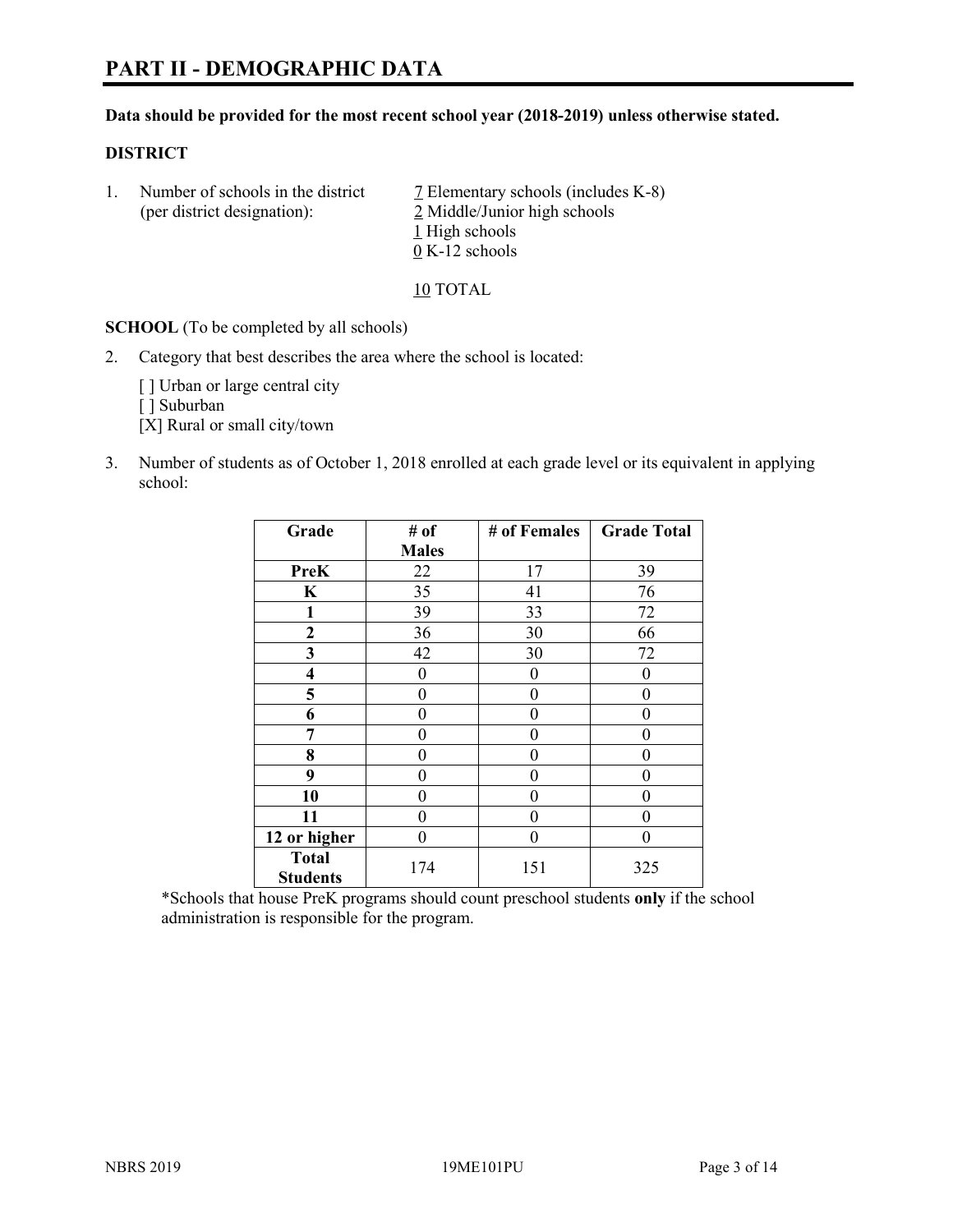#### **Data should be provided for the most recent school year (2018-2019) unless otherwise stated.**

#### **DISTRICT**

1. Number of schools in the district  $\overline{7}$  Elementary schools (includes K-8) (per district designation): 2 Middle/Junior high schools 1 High schools 0 K-12 schools

10 TOTAL

**SCHOOL** (To be completed by all schools)

2. Category that best describes the area where the school is located:

[] Urban or large central city

[ ] Suburban

[X] Rural or small city/town

3. Number of students as of October 1, 2018 enrolled at each grade level or its equivalent in applying school:

| Grade                   | # of         | # of Females | <b>Grade Total</b> |
|-------------------------|--------------|--------------|--------------------|
|                         | <b>Males</b> |              |                    |
| <b>PreK</b>             | 22           | 17           | 39                 |
| $\mathbf K$             | 35           | 41           | 76                 |
| 1                       | 39           | 33           | 72                 |
| 2                       | 36           | 30           | 66                 |
| 3                       | 42           | 30           | 72                 |
| $\overline{\mathbf{4}}$ | 0            | 0            | $\mathbf{0}$       |
| 5                       | 0            | 0            | 0                  |
| 6                       | 0            | 0            | 0                  |
| 7                       | 0            | 0            | 0                  |
| 8                       | 0            | 0            | 0                  |
| 9                       | 0            | $\theta$     | 0                  |
| 10                      | 0            | 0            | 0                  |
| 11                      | 0            | 0            | 0                  |
| 12 or higher            | 0            | 0            | 0                  |
| <b>Total</b>            | 174          | 151          | 325                |
| <b>Students</b>         |              |              |                    |

\*Schools that house PreK programs should count preschool students **only** if the school administration is responsible for the program.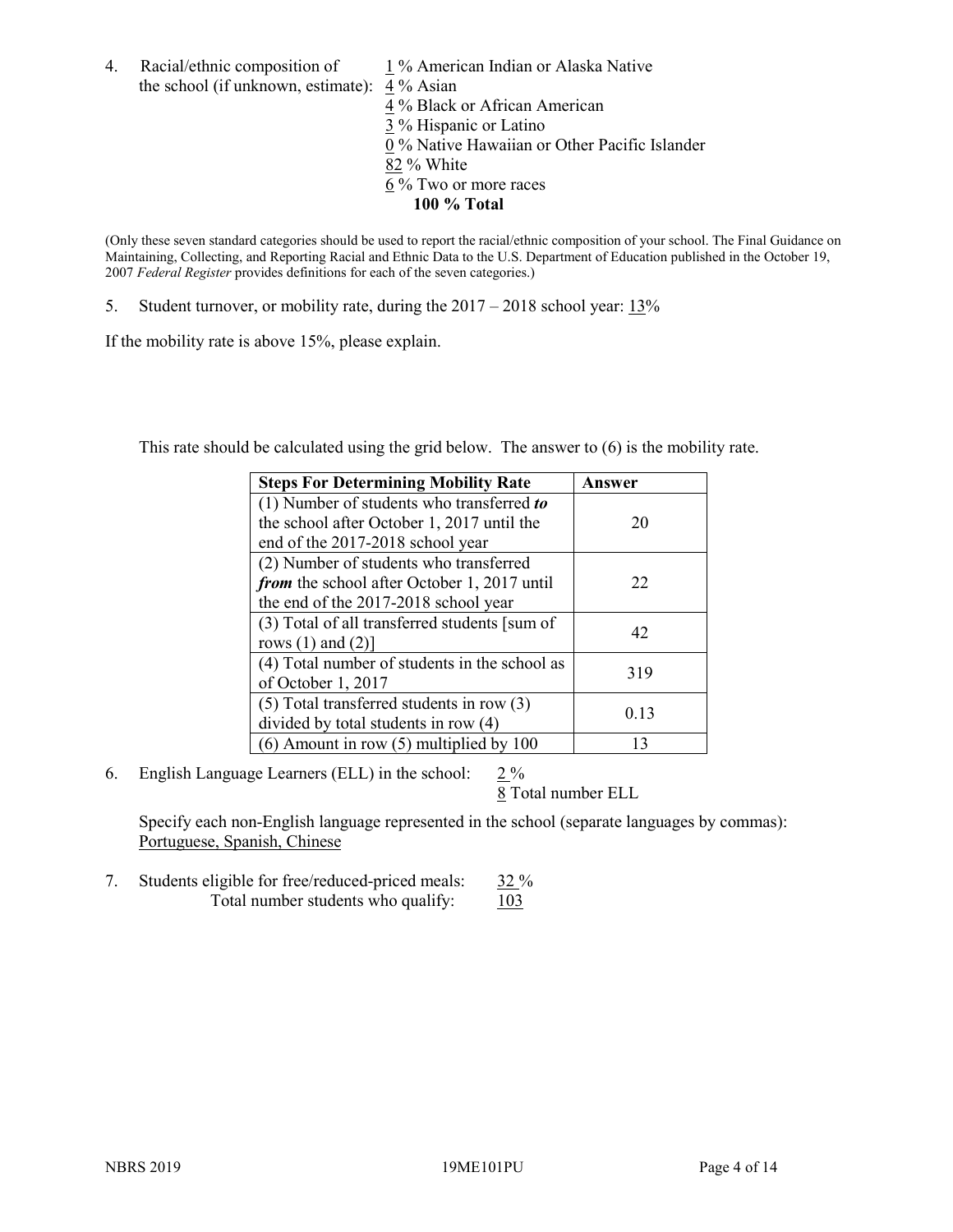4. Racial/ethnic composition of  $1\%$  American Indian or Alaska Native the school (if unknown, estimate): 4 % Asian

4 % Black or African American  $\frac{3}{3}$ % Hispanic or Latino 0 % Native Hawaiian or Other Pacific Islander 82 % White 6 % Two or more races **100 % Total**

(Only these seven standard categories should be used to report the racial/ethnic composition of your school. The Final Guidance on Maintaining, Collecting, and Reporting Racial and Ethnic Data to the U.S. Department of Education published in the October 19, 2007 *Federal Register* provides definitions for each of the seven categories.)

5. Student turnover, or mobility rate, during the 2017 – 2018 school year: 13%

If the mobility rate is above 15%, please explain.

This rate should be calculated using the grid below. The answer to (6) is the mobility rate.

| <b>Steps For Determining Mobility Rate</b>    | Answer |
|-----------------------------------------------|--------|
| (1) Number of students who transferred to     |        |
| the school after October 1, 2017 until the    | 20     |
| end of the 2017-2018 school year              |        |
| (2) Number of students who transferred        |        |
| from the school after October 1, 2017 until   | 22     |
| the end of the 2017-2018 school year          |        |
| (3) Total of all transferred students [sum of | 42     |
| rows $(1)$ and $(2)$ ]                        |        |
| (4) Total number of students in the school as | 319    |
| of October 1, 2017                            |        |
| $(5)$ Total transferred students in row $(3)$ |        |
| divided by total students in row (4)          | 0.13   |
| $(6)$ Amount in row $(5)$ multiplied by 100   | 13     |

6. English Language Learners (ELL) in the school:  $2\%$ 

8 Total number ELL

Specify each non-English language represented in the school (separate languages by commas): Portuguese, Spanish, Chinese

7. Students eligible for free/reduced-priced meals: 32 % Total number students who qualify:  $103$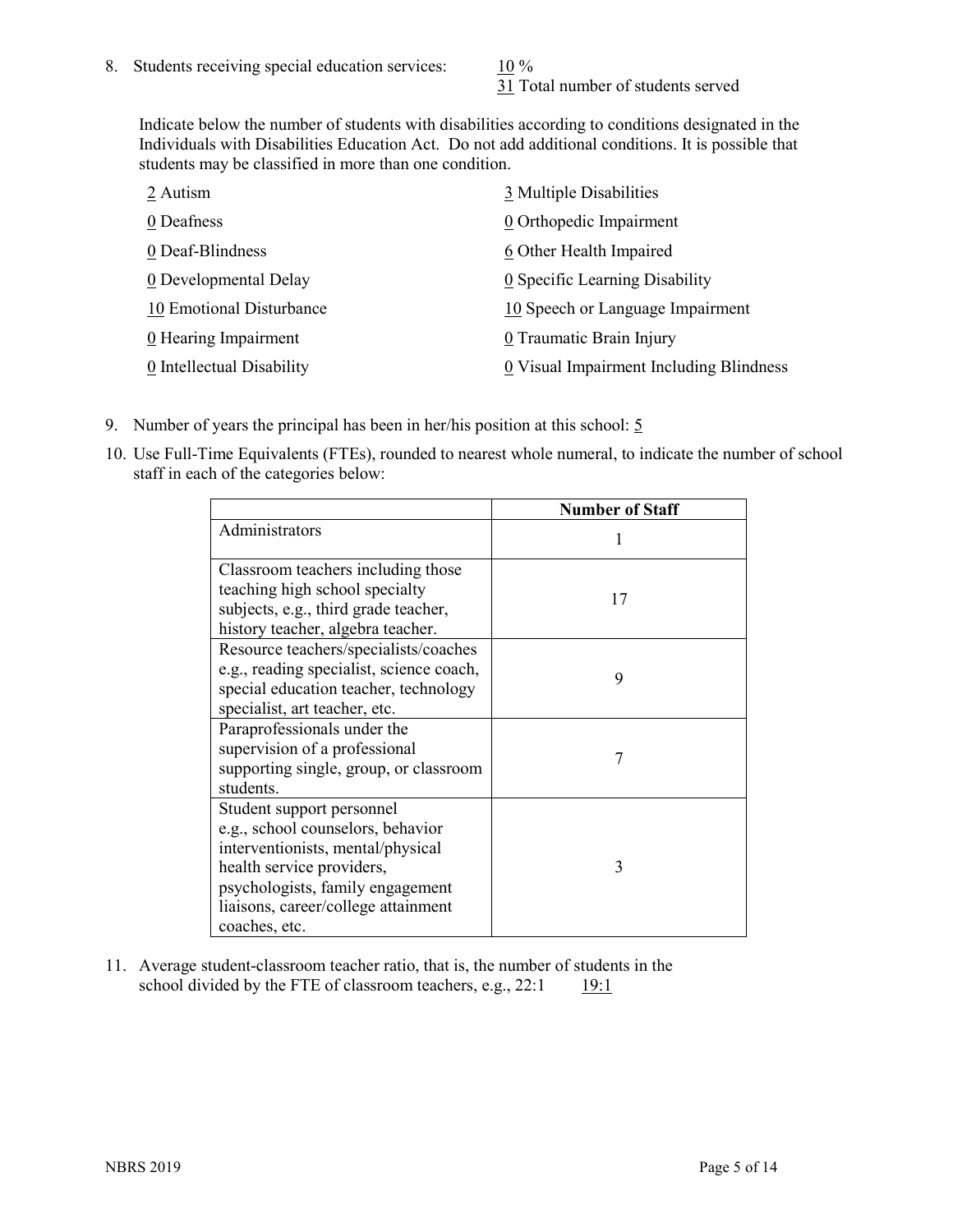31 Total number of students served

Indicate below the number of students with disabilities according to conditions designated in the Individuals with Disabilities Education Act. Do not add additional conditions. It is possible that students may be classified in more than one condition.

| 2 Autism                  | 3 Multiple Disabilities                 |
|---------------------------|-----------------------------------------|
| 0 Deafness                | 0 Orthopedic Impairment                 |
| 0 Deaf-Blindness          | 6 Other Health Impaired                 |
| 0 Developmental Delay     | 0 Specific Learning Disability          |
| 10 Emotional Disturbance  | 10 Speech or Language Impairment        |
| 0 Hearing Impairment      | 0 Traumatic Brain Injury                |
| 0 Intellectual Disability | 0 Visual Impairment Including Blindness |

- 9. Number of years the principal has been in her/his position at this school: 5
- 10. Use Full-Time Equivalents (FTEs), rounded to nearest whole numeral, to indicate the number of school staff in each of the categories below:

|                                                                                                                                                                                                                              | <b>Number of Staff</b> |
|------------------------------------------------------------------------------------------------------------------------------------------------------------------------------------------------------------------------------|------------------------|
| Administrators                                                                                                                                                                                                               |                        |
| Classroom teachers including those<br>teaching high school specialty<br>subjects, e.g., third grade teacher,<br>history teacher, algebra teacher.                                                                            | 17                     |
| Resource teachers/specialists/coaches<br>e.g., reading specialist, science coach,<br>special education teacher, technology<br>specialist, art teacher, etc.                                                                  | 9                      |
| Paraprofessionals under the<br>supervision of a professional<br>supporting single, group, or classroom<br>students.                                                                                                          | 7                      |
| Student support personnel<br>e.g., school counselors, behavior<br>interventionists, mental/physical<br>health service providers,<br>psychologists, family engagement<br>liaisons, career/college attainment<br>coaches, etc. | 3                      |

11. Average student-classroom teacher ratio, that is, the number of students in the school divided by the FTE of classroom teachers, e.g.,  $22:1$  19:1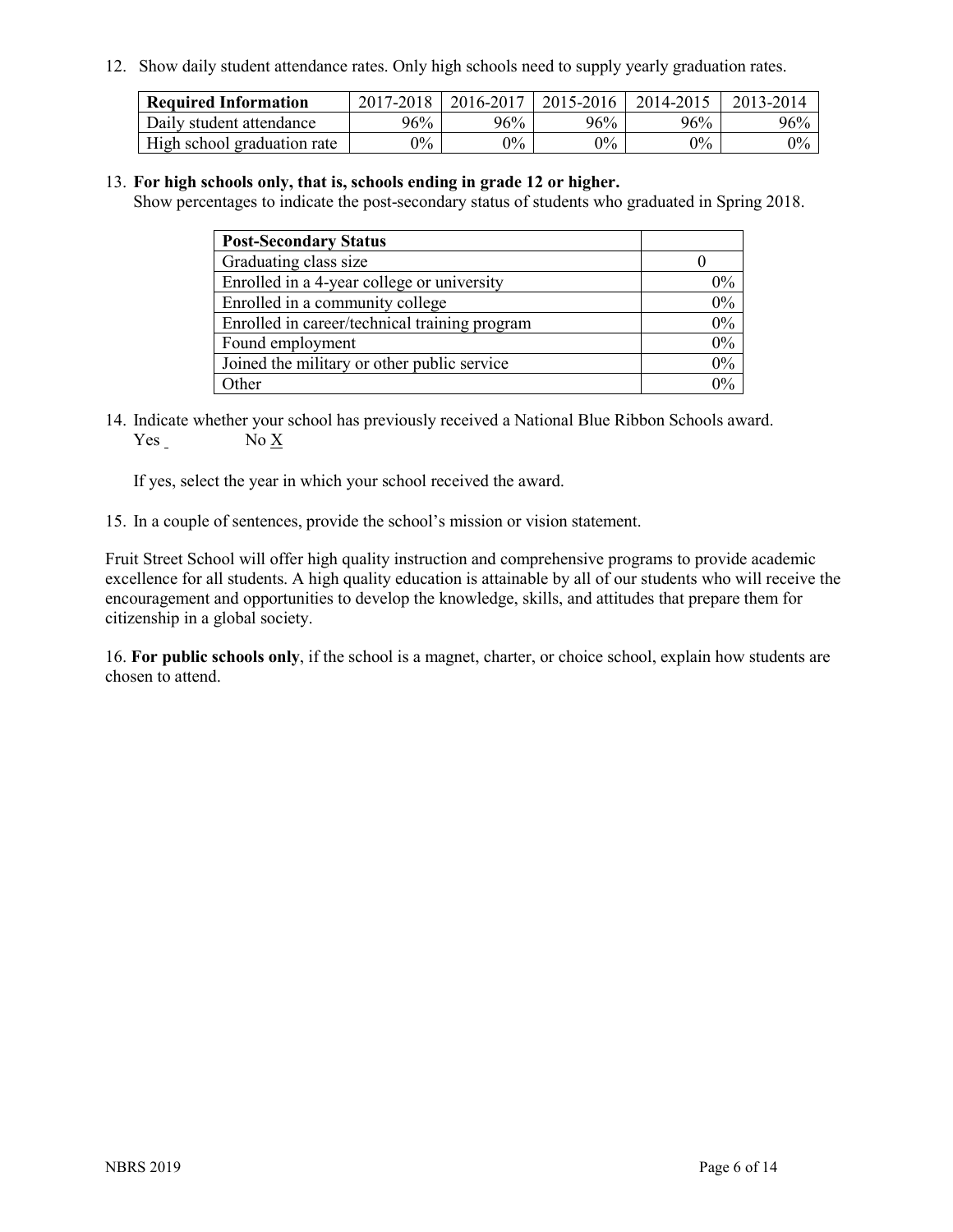12. Show daily student attendance rates. Only high schools need to supply yearly graduation rates.

| <b>Required Information</b> | 2017-2018 | 2016-2017 | 2015-2016 | 2014-2015 | 2013-2014 |
|-----------------------------|-----------|-----------|-----------|-----------|-----------|
| Daily student attendance    | 96%       | 96%       | 96%       | 96%       | 96%       |
| High school graduation rate | $0\%$     | $0\%$     | $0\%$     | $9\%$     | $0\%$     |

#### 13. **For high schools only, that is, schools ending in grade 12 or higher.**

Show percentages to indicate the post-secondary status of students who graduated in Spring 2018.

| <b>Post-Secondary Status</b>                  |       |
|-----------------------------------------------|-------|
| Graduating class size                         |       |
| Enrolled in a 4-year college or university    | $0\%$ |
| Enrolled in a community college               | 0%    |
| Enrolled in career/technical training program | 0%    |
| Found employment                              | 0%    |
| Joined the military or other public service   | 0%    |
| Other                                         | $0\%$ |

14. Indicate whether your school has previously received a National Blue Ribbon Schools award. Yes No X

If yes, select the year in which your school received the award.

15. In a couple of sentences, provide the school's mission or vision statement.

Fruit Street School will offer high quality instruction and comprehensive programs to provide academic excellence for all students. A high quality education is attainable by all of our students who will receive the encouragement and opportunities to develop the knowledge, skills, and attitudes that prepare them for citizenship in a global society.

16. **For public schools only**, if the school is a magnet, charter, or choice school, explain how students are chosen to attend.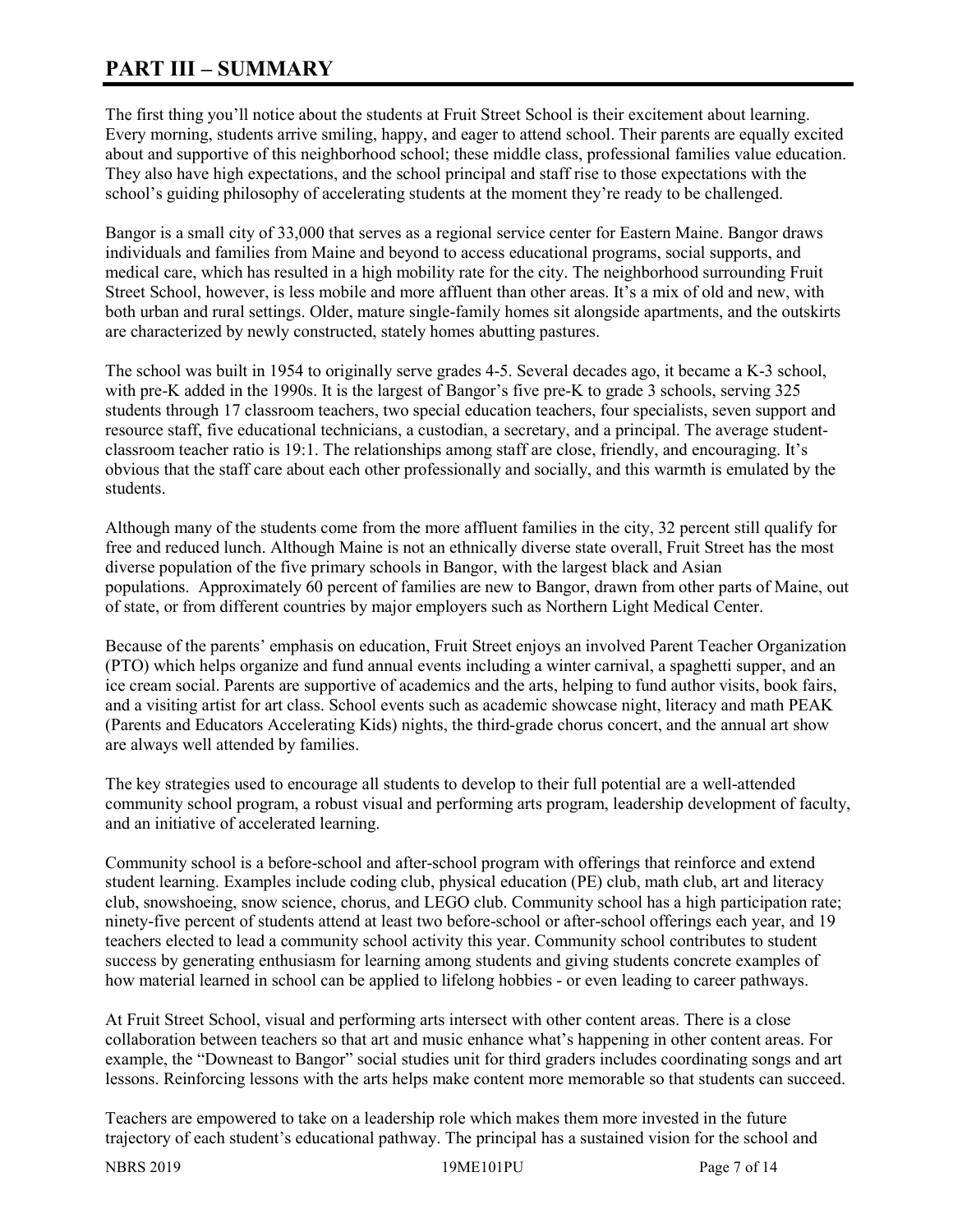# **PART III – SUMMARY**

The first thing you'll notice about the students at Fruit Street School is their excitement about learning. Every morning, students arrive smiling, happy, and eager to attend school. Their parents are equally excited about and supportive of this neighborhood school; these middle class, professional families value education. They also have high expectations, and the school principal and staff rise to those expectations with the school's guiding philosophy of accelerating students at the moment they're ready to be challenged.

Bangor is a small city of 33,000 that serves as a regional service center for Eastern Maine. Bangor draws individuals and families from Maine and beyond to access educational programs, social supports, and medical care, which has resulted in a high mobility rate for the city. The neighborhood surrounding Fruit Street School, however, is less mobile and more affluent than other areas. It's a mix of old and new, with both urban and rural settings. Older, mature single-family homes sit alongside apartments, and the outskirts are characterized by newly constructed, stately homes abutting pastures.

The school was built in 1954 to originally serve grades 4-5. Several decades ago, it became a K-3 school, with pre-K added in the 1990s. It is the largest of Bangor's five pre-K to grade 3 schools, serving 325 students through 17 classroom teachers, two special education teachers, four specialists, seven support and resource staff, five educational technicians, a custodian, a secretary, and a principal. The average studentclassroom teacher ratio is 19:1. The relationships among staff are close, friendly, and encouraging. It's obvious that the staff care about each other professionally and socially, and this warmth is emulated by the students.

Although many of the students come from the more affluent families in the city, 32 percent still qualify for free and reduced lunch. Although Maine is not an ethnically diverse state overall, Fruit Street has the most diverse population of the five primary schools in Bangor, with the largest black and Asian populations. Approximately 60 percent of families are new to Bangor, drawn from other parts of Maine, out of state, or from different countries by major employers such as Northern Light Medical Center.

Because of the parents' emphasis on education, Fruit Street enjoys an involved Parent Teacher Organization (PTO) which helps organize and fund annual events including a winter carnival, a spaghetti supper, and an ice cream social. Parents are supportive of academics and the arts, helping to fund author visits, book fairs, and a visiting artist for art class. School events such as academic showcase night, literacy and math PEAK (Parents and Educators Accelerating Kids) nights, the third-grade chorus concert, and the annual art show are always well attended by families.

The key strategies used to encourage all students to develop to their full potential are a well-attended community school program, a robust visual and performing arts program, leadership development of faculty, and an initiative of accelerated learning.

Community school is a before-school and after-school program with offerings that reinforce and extend student learning. Examples include coding club, physical education (PE) club, math club, art and literacy club, snowshoeing, snow science, chorus, and LEGO club. Community school has a high participation rate; ninety-five percent of students attend at least two before-school or after-school offerings each year, and 19 teachers elected to lead a community school activity this year. Community school contributes to student success by generating enthusiasm for learning among students and giving students concrete examples of how material learned in school can be applied to lifelong hobbies - or even leading to career pathways.

At Fruit Street School, visual and performing arts intersect with other content areas. There is a close collaboration between teachers so that art and music enhance what's happening in other content areas. For example, the "Downeast to Bangor" social studies unit for third graders includes coordinating songs and art lessons. Reinforcing lessons with the arts helps make content more memorable so that students can succeed.

Teachers are empowered to take on a leadership role which makes them more invested in the future trajectory of each student's educational pathway. The principal has a sustained vision for the school and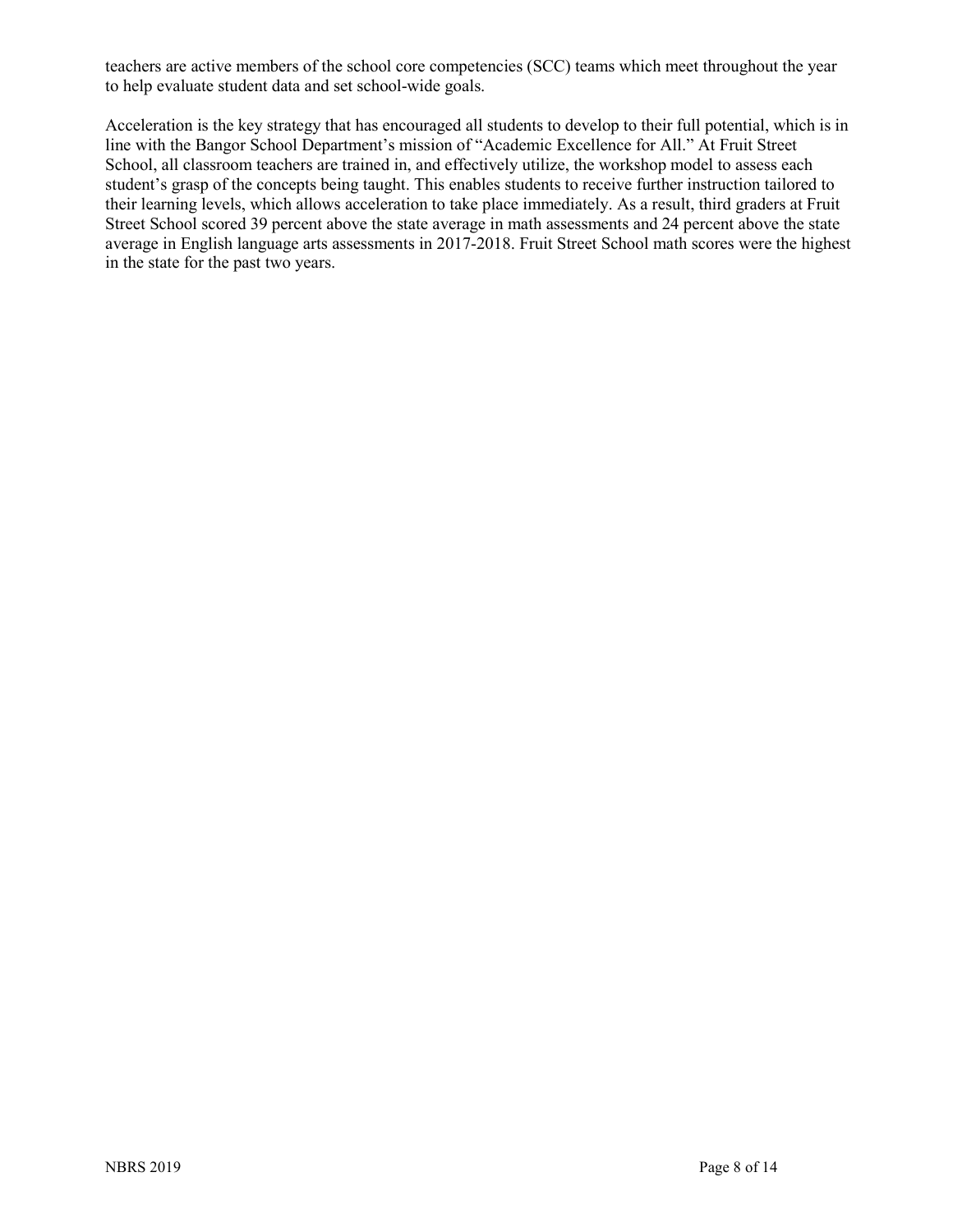teachers are active members of the school core competencies (SCC) teams which meet throughout the year to help evaluate student data and set school-wide goals.

Acceleration is the key strategy that has encouraged all students to develop to their full potential, which is in line with the Bangor School Department's mission of "Academic Excellence for All." At Fruit Street School, all classroom teachers are trained in, and effectively utilize, the workshop model to assess each student's grasp of the concepts being taught. This enables students to receive further instruction tailored to their learning levels, which allows acceleration to take place immediately. As a result, third graders at Fruit Street School scored 39 percent above the state average in math assessments and 24 percent above the state average in English language arts assessments in 2017-2018. Fruit Street School math scores were the highest in the state for the past two years.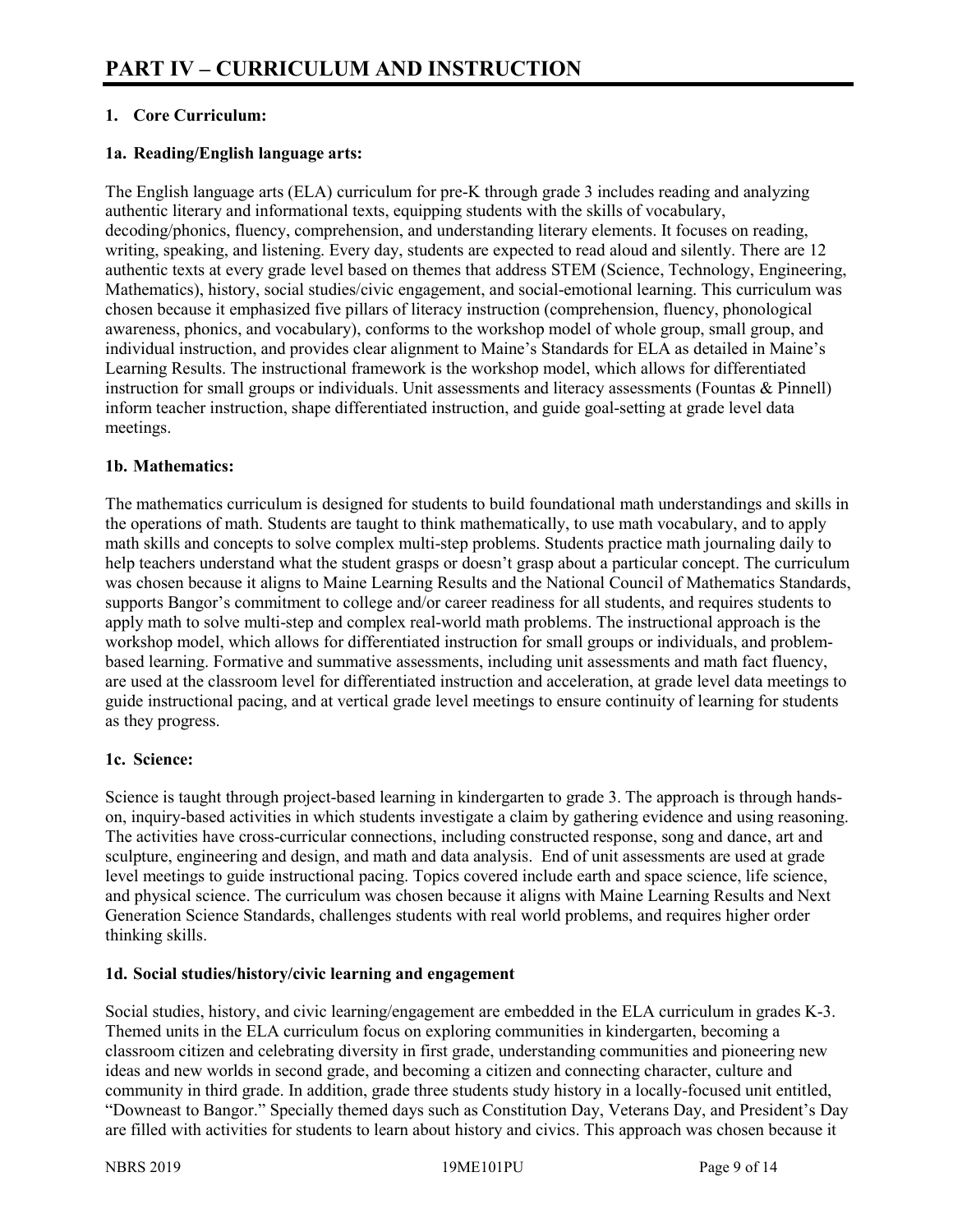# **1. Core Curriculum:**

### **1a. Reading/English language arts:**

The English language arts (ELA) curriculum for pre-K through grade 3 includes reading and analyzing authentic literary and informational texts, equipping students with the skills of vocabulary, decoding/phonics, fluency, comprehension, and understanding literary elements. It focuses on reading, writing, speaking, and listening. Every day, students are expected to read aloud and silently. There are 12 authentic texts at every grade level based on themes that address STEM (Science, Technology, Engineering, Mathematics), history, social studies/civic engagement, and social-emotional learning. This curriculum was chosen because it emphasized five pillars of literacy instruction (comprehension, fluency, phonological awareness, phonics, and vocabulary), conforms to the workshop model of whole group, small group, and individual instruction, and provides clear alignment to Maine's Standards for ELA as detailed in Maine's Learning Results. The instructional framework is the workshop model, which allows for differentiated instruction for small groups or individuals. Unit assessments and literacy assessments (Fountas & Pinnell) inform teacher instruction, shape differentiated instruction, and guide goal-setting at grade level data meetings.

#### **1b. Mathematics:**

The mathematics curriculum is designed for students to build foundational math understandings and skills in the operations of math. Students are taught to think mathematically, to use math vocabulary, and to apply math skills and concepts to solve complex multi-step problems. Students practice math journaling daily to help teachers understand what the student grasps or doesn't grasp about a particular concept. The curriculum was chosen because it aligns to Maine Learning Results and the National Council of Mathematics Standards, supports Bangor's commitment to college and/or career readiness for all students, and requires students to apply math to solve multi-step and complex real-world math problems. The instructional approach is the workshop model, which allows for differentiated instruction for small groups or individuals, and problembased learning. Formative and summative assessments, including unit assessments and math fact fluency, are used at the classroom level for differentiated instruction and acceleration, at grade level data meetings to guide instructional pacing, and at vertical grade level meetings to ensure continuity of learning for students as they progress.

#### **1c. Science:**

Science is taught through project-based learning in kindergarten to grade 3. The approach is through handson, inquiry-based activities in which students investigate a claim by gathering evidence and using reasoning. The activities have cross-curricular connections, including constructed response, song and dance, art and sculpture, engineering and design, and math and data analysis. End of unit assessments are used at grade level meetings to guide instructional pacing. Topics covered include earth and space science, life science, and physical science. The curriculum was chosen because it aligns with Maine Learning Results and Next Generation Science Standards, challenges students with real world problems, and requires higher order thinking skills.

# **1d. Social studies/history/civic learning and engagement**

Social studies, history, and civic learning/engagement are embedded in the ELA curriculum in grades K-3. Themed units in the ELA curriculum focus on exploring communities in kindergarten, becoming a classroom citizen and celebrating diversity in first grade, understanding communities and pioneering new ideas and new worlds in second grade, and becoming a citizen and connecting character, culture and community in third grade. In addition, grade three students study history in a locally-focused unit entitled, "Downeast to Bangor." Specially themed days such as Constitution Day, Veterans Day, and President's Day are filled with activities for students to learn about history and civics. This approach was chosen because it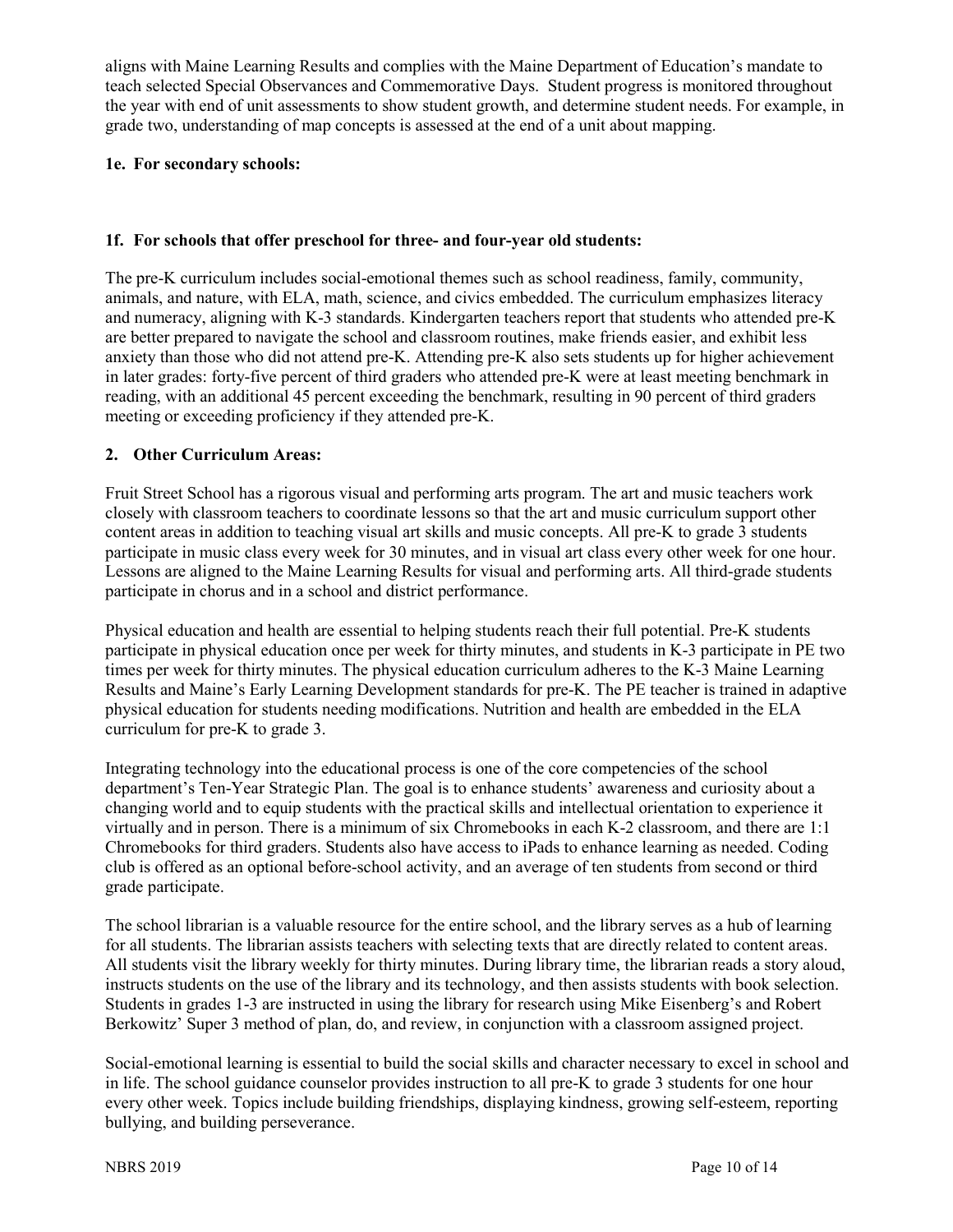aligns with Maine Learning Results and complies with the Maine Department of Education's mandate to teach selected Special Observances and Commemorative Days. Student progress is monitored throughout the year with end of unit assessments to show student growth, and determine student needs. For example, in grade two, understanding of map concepts is assessed at the end of a unit about mapping.

#### **1e. For secondary schools:**

#### **1f. For schools that offer preschool for three- and four-year old students:**

The pre-K curriculum includes social-emotional themes such as school readiness, family, community, animals, and nature, with ELA, math, science, and civics embedded. The curriculum emphasizes literacy and numeracy, aligning with K-3 standards. Kindergarten teachers report that students who attended pre-K are better prepared to navigate the school and classroom routines, make friends easier, and exhibit less anxiety than those who did not attend pre-K. Attending pre-K also sets students up for higher achievement in later grades: forty-five percent of third graders who attended pre-K were at least meeting benchmark in reading, with an additional 45 percent exceeding the benchmark, resulting in 90 percent of third graders meeting or exceeding proficiency if they attended pre-K.

#### **2. Other Curriculum Areas:**

Fruit Street School has a rigorous visual and performing arts program. The art and music teachers work closely with classroom teachers to coordinate lessons so that the art and music curriculum support other content areas in addition to teaching visual art skills and music concepts. All pre-K to grade 3 students participate in music class every week for 30 minutes, and in visual art class every other week for one hour. Lessons are aligned to the Maine Learning Results for visual and performing arts. All third-grade students participate in chorus and in a school and district performance.

Physical education and health are essential to helping students reach their full potential. Pre-K students participate in physical education once per week for thirty minutes, and students in K-3 participate in PE two times per week for thirty minutes. The physical education curriculum adheres to the K-3 Maine Learning Results and Maine's Early Learning Development standards for pre-K. The PE teacher is trained in adaptive physical education for students needing modifications. Nutrition and health are embedded in the ELA curriculum for pre-K to grade 3.

Integrating technology into the educational process is one of the core competencies of the school department's Ten-Year Strategic Plan. The goal is to enhance students' awareness and curiosity about a changing world and to equip students with the practical skills and intellectual orientation to experience it virtually and in person. There is a minimum of six Chromebooks in each K-2 classroom, and there are 1:1 Chromebooks for third graders. Students also have access to iPads to enhance learning as needed. Coding club is offered as an optional before-school activity, and an average of ten students from second or third grade participate.

The school librarian is a valuable resource for the entire school, and the library serves as a hub of learning for all students. The librarian assists teachers with selecting texts that are directly related to content areas. All students visit the library weekly for thirty minutes. During library time, the librarian reads a story aloud, instructs students on the use of the library and its technology, and then assists students with book selection. Students in grades 1-3 are instructed in using the library for research using Mike Eisenberg's and Robert Berkowitz' Super 3 method of plan, do, and review, in conjunction with a classroom assigned project.

Social-emotional learning is essential to build the social skills and character necessary to excel in school and in life. The school guidance counselor provides instruction to all pre-K to grade 3 students for one hour every other week. Topics include building friendships, displaying kindness, growing self-esteem, reporting bullying, and building perseverance.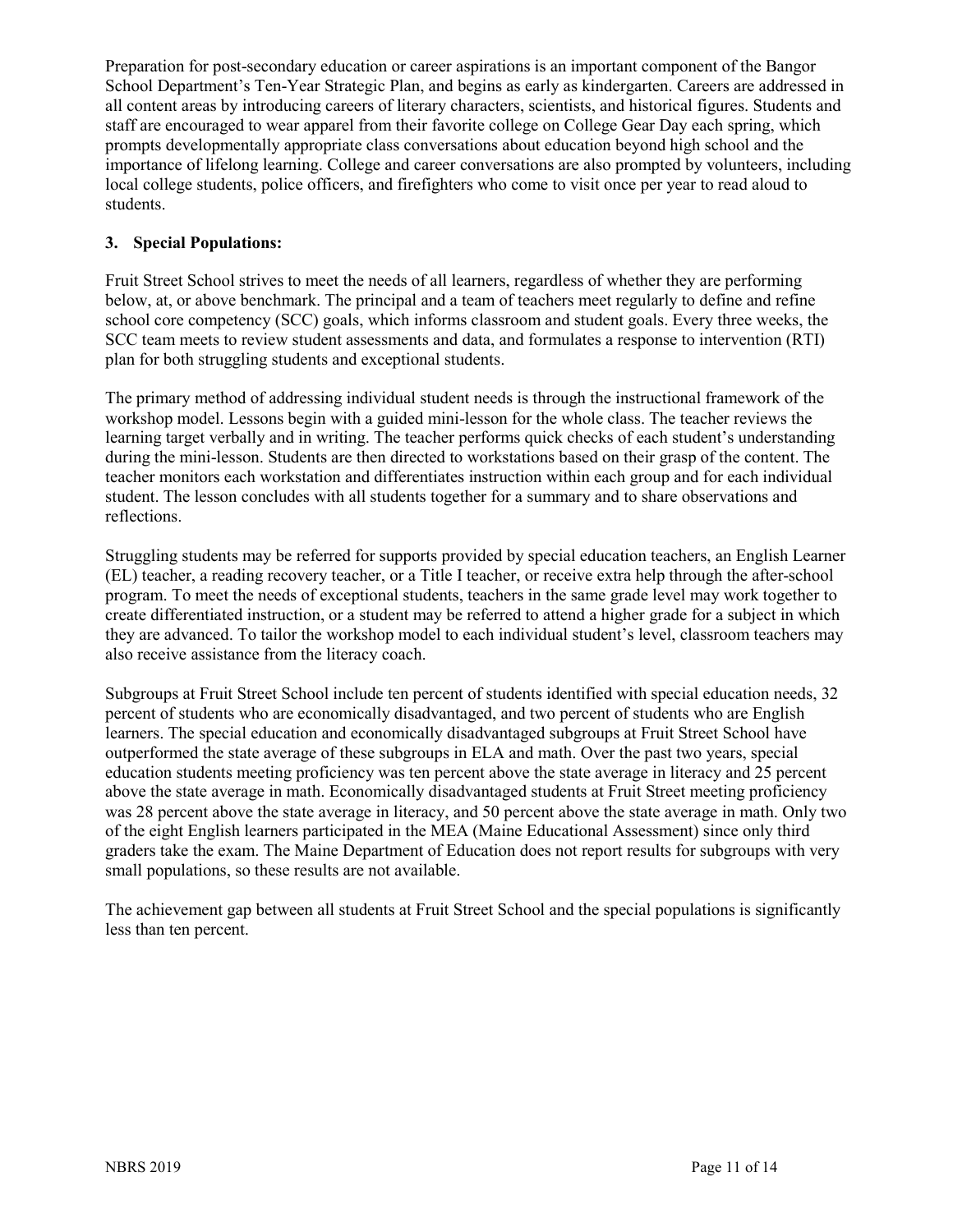Preparation for post-secondary education or career aspirations is an important component of the Bangor School Department's Ten-Year Strategic Plan, and begins as early as kindergarten. Careers are addressed in all content areas by introducing careers of literary characters, scientists, and historical figures. Students and staff are encouraged to wear apparel from their favorite college on College Gear Day each spring, which prompts developmentally appropriate class conversations about education beyond high school and the importance of lifelong learning. College and career conversations are also prompted by volunteers, including local college students, police officers, and firefighters who come to visit once per year to read aloud to students.

# **3. Special Populations:**

Fruit Street School strives to meet the needs of all learners, regardless of whether they are performing below, at, or above benchmark. The principal and a team of teachers meet regularly to define and refine school core competency (SCC) goals, which informs classroom and student goals. Every three weeks, the SCC team meets to review student assessments and data, and formulates a response to intervention (RTI) plan for both struggling students and exceptional students.

The primary method of addressing individual student needs is through the instructional framework of the workshop model. Lessons begin with a guided mini-lesson for the whole class. The teacher reviews the learning target verbally and in writing. The teacher performs quick checks of each student's understanding during the mini-lesson. Students are then directed to workstations based on their grasp of the content. The teacher monitors each workstation and differentiates instruction within each group and for each individual student. The lesson concludes with all students together for a summary and to share observations and reflections.

Struggling students may be referred for supports provided by special education teachers, an English Learner (EL) teacher, a reading recovery teacher, or a Title I teacher, or receive extra help through the after-school program. To meet the needs of exceptional students, teachers in the same grade level may work together to create differentiated instruction, or a student may be referred to attend a higher grade for a subject in which they are advanced. To tailor the workshop model to each individual student's level, classroom teachers may also receive assistance from the literacy coach.

Subgroups at Fruit Street School include ten percent of students identified with special education needs, 32 percent of students who are economically disadvantaged, and two percent of students who are English learners. The special education and economically disadvantaged subgroups at Fruit Street School have outperformed the state average of these subgroups in ELA and math. Over the past two years, special education students meeting proficiency was ten percent above the state average in literacy and 25 percent above the state average in math. Economically disadvantaged students at Fruit Street meeting proficiency was 28 percent above the state average in literacy, and 50 percent above the state average in math. Only two of the eight English learners participated in the MEA (Maine Educational Assessment) since only third graders take the exam. The Maine Department of Education does not report results for subgroups with very small populations, so these results are not available.

The achievement gap between all students at Fruit Street School and the special populations is significantly less than ten percent.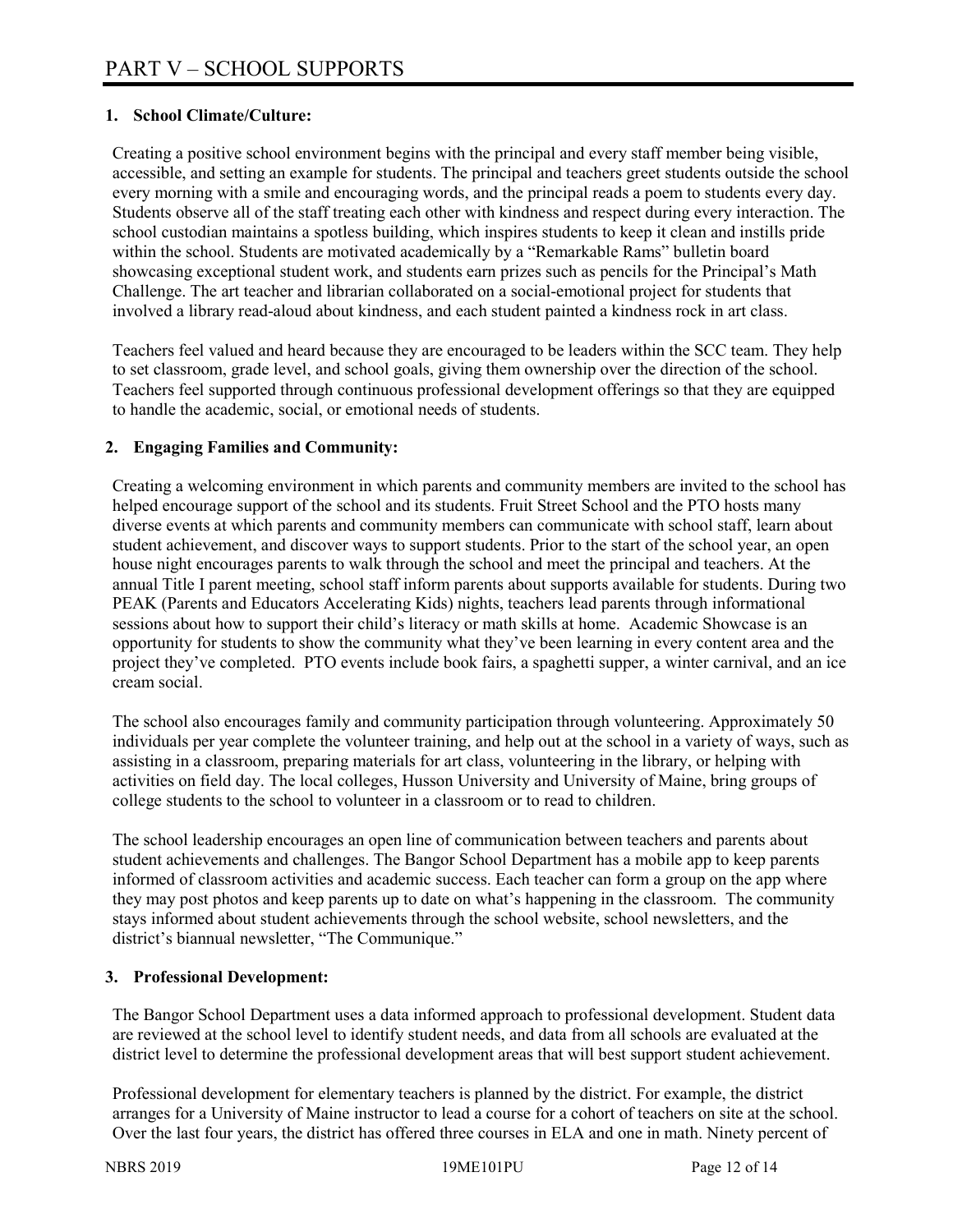# **1. School Climate/Culture:**

Creating a positive school environment begins with the principal and every staff member being visible, accessible, and setting an example for students. The principal and teachers greet students outside the school every morning with a smile and encouraging words, and the principal reads a poem to students every day. Students observe all of the staff treating each other with kindness and respect during every interaction. The school custodian maintains a spotless building, which inspires students to keep it clean and instills pride within the school. Students are motivated academically by a "Remarkable Rams" bulletin board showcasing exceptional student work, and students earn prizes such as pencils for the Principal's Math Challenge. The art teacher and librarian collaborated on a social-emotional project for students that involved a library read-aloud about kindness, and each student painted a kindness rock in art class.

Teachers feel valued and heard because they are encouraged to be leaders within the SCC team. They help to set classroom, grade level, and school goals, giving them ownership over the direction of the school. Teachers feel supported through continuous professional development offerings so that they are equipped to handle the academic, social, or emotional needs of students.

# **2. Engaging Families and Community:**

Creating a welcoming environment in which parents and community members are invited to the school has helped encourage support of the school and its students. Fruit Street School and the PTO hosts many diverse events at which parents and community members can communicate with school staff, learn about student achievement, and discover ways to support students. Prior to the start of the school year, an open house night encourages parents to walk through the school and meet the principal and teachers. At the annual Title I parent meeting, school staff inform parents about supports available for students. During two PEAK (Parents and Educators Accelerating Kids) nights, teachers lead parents through informational sessions about how to support their child's literacy or math skills at home. Academic Showcase is an opportunity for students to show the community what they've been learning in every content area and the project they've completed. PTO events include book fairs, a spaghetti supper, a winter carnival, and an ice cream social.

The school also encourages family and community participation through volunteering. Approximately 50 individuals per year complete the volunteer training, and help out at the school in a variety of ways, such as assisting in a classroom, preparing materials for art class, volunteering in the library, or helping with activities on field day. The local colleges, Husson University and University of Maine, bring groups of college students to the school to volunteer in a classroom or to read to children.

The school leadership encourages an open line of communication between teachers and parents about student achievements and challenges. The Bangor School Department has a mobile app to keep parents informed of classroom activities and academic success. Each teacher can form a group on the app where they may post photos and keep parents up to date on what's happening in the classroom. The community stays informed about student achievements through the school website, school newsletters, and the district's biannual newsletter, "The Communique."

# **3. Professional Development:**

The Bangor School Department uses a data informed approach to professional development. Student data are reviewed at the school level to identify student needs, and data from all schools are evaluated at the district level to determine the professional development areas that will best support student achievement.

Professional development for elementary teachers is planned by the district. For example, the district arranges for a University of Maine instructor to lead a course for a cohort of teachers on site at the school. Over the last four years, the district has offered three courses in ELA and one in math. Ninety percent of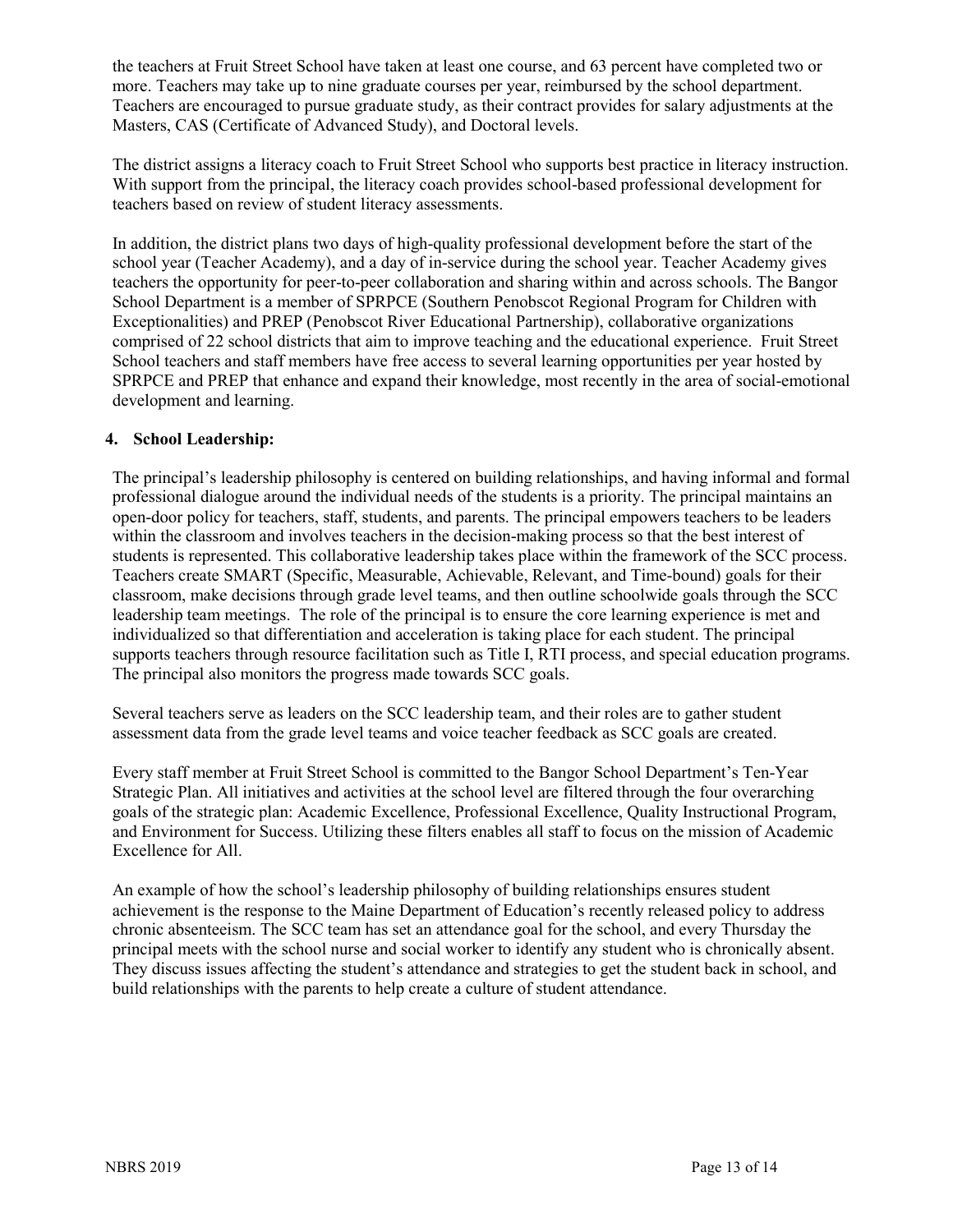the teachers at Fruit Street School have taken at least one course, and 63 percent have completed two or more. Teachers may take up to nine graduate courses per year, reimbursed by the school department. Teachers are encouraged to pursue graduate study, as their contract provides for salary adjustments at the Masters, CAS (Certificate of Advanced Study), and Doctoral levels.

The district assigns a literacy coach to Fruit Street School who supports best practice in literacy instruction. With support from the principal, the literacy coach provides school-based professional development for teachers based on review of student literacy assessments.

In addition, the district plans two days of high-quality professional development before the start of the school year (Teacher Academy), and a day of in-service during the school year. Teacher Academy gives teachers the opportunity for peer-to-peer collaboration and sharing within and across schools. The Bangor School Department is a member of SPRPCE (Southern Penobscot Regional Program for Children with Exceptionalities) and PREP (Penobscot River Educational Partnership), collaborative organizations comprised of 22 school districts that aim to improve teaching and the educational experience. Fruit Street School teachers and staff members have free access to several learning opportunities per year hosted by SPRPCE and PREP that enhance and expand their knowledge, most recently in the area of social-emotional development and learning.

#### **4. School Leadership:**

The principal's leadership philosophy is centered on building relationships, and having informal and formal professional dialogue around the individual needs of the students is a priority. The principal maintains an open-door policy for teachers, staff, students, and parents. The principal empowers teachers to be leaders within the classroom and involves teachers in the decision-making process so that the best interest of students is represented. This collaborative leadership takes place within the framework of the SCC process. Teachers create SMART (Specific, Measurable, Achievable, Relevant, and Time-bound) goals for their classroom, make decisions through grade level teams, and then outline schoolwide goals through the SCC leadership team meetings. The role of the principal is to ensure the core learning experience is met and individualized so that differentiation and acceleration is taking place for each student. The principal supports teachers through resource facilitation such as Title I, RTI process, and special education programs. The principal also monitors the progress made towards SCC goals.

Several teachers serve as leaders on the SCC leadership team, and their roles are to gather student assessment data from the grade level teams and voice teacher feedback as SCC goals are created.

Every staff member at Fruit Street School is committed to the Bangor School Department's Ten-Year Strategic Plan. All initiatives and activities at the school level are filtered through the four overarching goals of the strategic plan: Academic Excellence, Professional Excellence, Quality Instructional Program, and Environment for Success. Utilizing these filters enables all staff to focus on the mission of Academic Excellence for All.

An example of how the school's leadership philosophy of building relationships ensures student achievement is the response to the Maine Department of Education's recently released policy to address chronic absenteeism. The SCC team has set an attendance goal for the school, and every Thursday the principal meets with the school nurse and social worker to identify any student who is chronically absent. They discuss issues affecting the student's attendance and strategies to get the student back in school, and build relationships with the parents to help create a culture of student attendance.